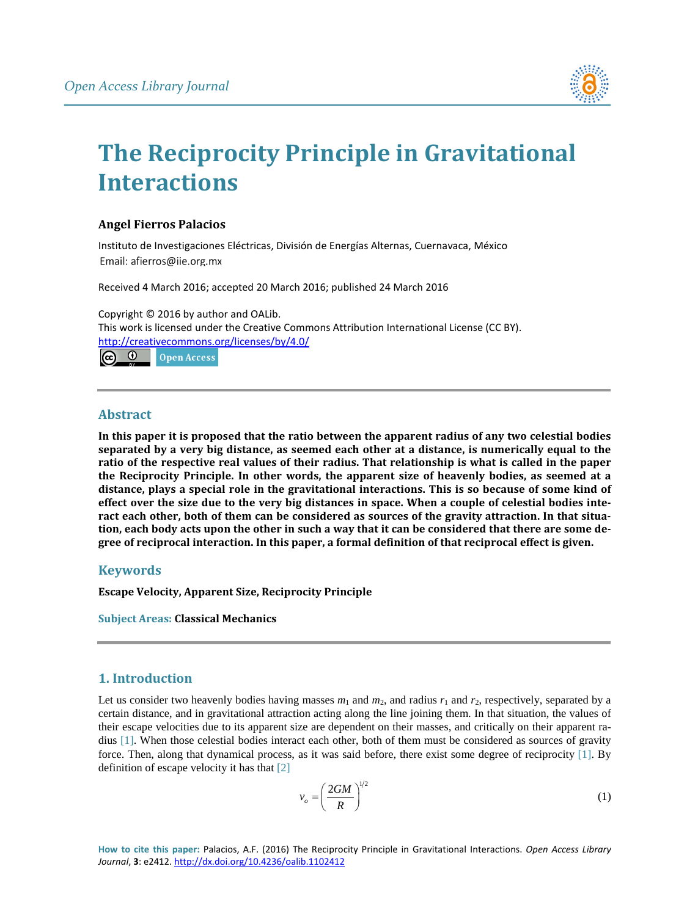

# **The Reciprocity Principle in Gravitational Interactions**

## **Angel Fierros Palacios**

Instituto de Investigaciones Eléctricas, División de Energías Alternas, Cuernavaca, México Email: afierros@iie.org.mx

Received 4 March 2016; accepted 20 March 2016; published 24 March 2016

Copyright © 2016 by author and OALib. This work is licensed under the Creative Commons Attribution International License (CC BY). <http://creativecommons.org/licenses/by/4.0/>  $\epsilon$  $\odot$ **Open Access** 

## **Abstract**

**In this paper it is proposed that the ratio between the apparent radius of any two celestial bodies separated by a very big distance, as seemed each other at a distance, is numerically equal to the ratio of the respective real values of their radius. That relationship is what is called in the paper the Reciprocity Principle. In other words, the apparent size of heavenly bodies, as seemed at a distance, plays a special role in the gravitational interactions. This is so because of some kind of effect over the size due to the very big distances in space. When a couple of celestial bodies interact each other, both of them can be considered as sources of the gravity attraction. In that situation, each body acts upon the other in such a way that it can be considered that there are some degree of reciprocal interaction. In this paper, a formal definition of that reciprocal effect is given.**

## **Keywords**

**Escape Velocity, Apparent Size, Reciprocity Principle**

**Subject Areas: Classical Mechanics**

# **1. Introduction**

Let us consider two heavenly bodies having masses  $m_1$  and  $m_2$ , and radius  $r_1$  and  $r_2$ , respectively, separated by a certain distance, and in gravitational attraction acting along the line joining them. In that situation, the values of their escape velocities due to its apparent size are dependent on their masses, and critically on their apparent radius [\[1\].](#page-3-0) When those celestial bodies interact each other, both of them must be considered as sources of gravity force. Then, along that dynamical process, as it was said before, there exist some degree of reciprocity [\[1\].](#page-3-0) By definition of escape velocity it has that [\[2\]](#page-3-1)

$$
v_o = \left(\frac{2GM}{R}\right)^{1/2} \tag{1}
$$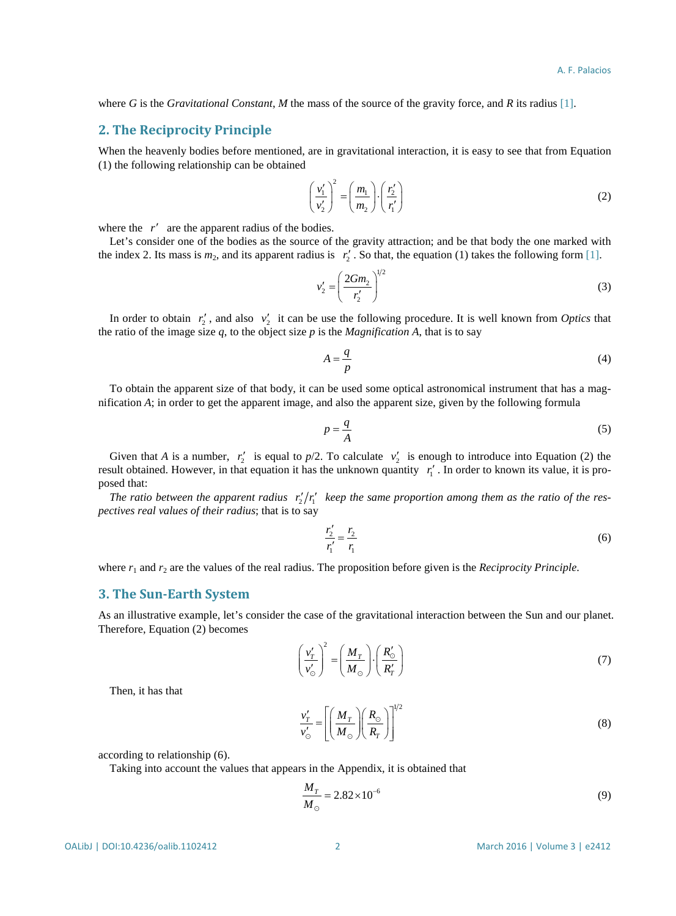where *G* is the *Gravitational Constant*, *M* the mass of the source of the gravity force, and *R* its radius [\[1\].](#page-3-0)

#### **2. The Reciprocity Principle**

When the heavenly bodies before mentioned, are in gravitational interaction, it is easy to see that from Equation (1) the following relationship can be obtained

$$
\left(\frac{v_1'}{v_2'}\right)^2 = \left(\frac{m_1}{m_2}\right) \cdot \left(\frac{r_2'}{r_1'}\right) \tag{2}
$$

where the r' are the apparent radius of the bodies.

Let's consider one of the bodies as the source of the gravity attraction; and be that body the one marked with the index 2. Its mass is  $m_2$ , and its apparent radius is  $r'_2$ . So that, the equation (1) takes the following for[m \[1\].](#page-3-0)

$$
v_2' = \left(\frac{2Gm_2}{r_2'}\right)^{1/2} \tag{3}
$$

In order to obtain  $r'_2$ , and also  $v'_2$  it can be use the following procedure. It is well known from *Optics* that the ratio of the image size  $q$ , to the object size  $p$  is the *Magnification A*, that is to say

$$
A = \frac{q}{p} \tag{4}
$$

To obtain the apparent size of that body, it can be used some optical astronomical instrument that has a magnification *A*; in order to get the apparent image, and also the apparent size, given by the following formula

$$
p = \frac{q}{A} \tag{5}
$$

Given that *A* is a number,  $r'_2$  is equal to  $p/2$ . To calculate  $v'_2$  is enough to introduce into Equation (2) the result obtained. However, in that equation it has the unknown quantity  $r'_1$ . In order to known its value, it is proposed that:

*The ratio between the apparent radius*  $r'_{i}/r'_{i}$  *keep the same proportion among them as the ratio of the respectives real values of their radius*; that is to say

$$
\frac{r_2'}{r_1'} = \frac{r_2}{r_1}
$$
 (6)

where  $r_1$  and  $r_2$  are the values of the real radius. The proposition before given is the *Reciprocity Principle*.

#### **3. The Sun-Earth System**

As an illustrative example, let's consider the case of the gravitational interaction between the Sun and our planet. Therefore, Equation (2) becomes

 $12$ 

$$
\left(\frac{v'_T}{v'_\odot}\right)^2 = \left(\frac{M_T}{M_\odot}\right) \cdot \left(\frac{R'_\odot}{R'_T}\right) \tag{7}
$$

Then, it has that

$$
\frac{v'_T}{v'_\odot} = \left[ \left( \frac{M_T}{M_\odot} \right) \left( \frac{R_\odot}{R_T} \right) \right]^{1/2} \tag{8}
$$

according to relationship (6).

Taking into account the values that appears in the Appendix, it is obtained that

$$
\frac{M_T}{M_{\odot}} = 2.82 \times 10^{-6}
$$
\n(9)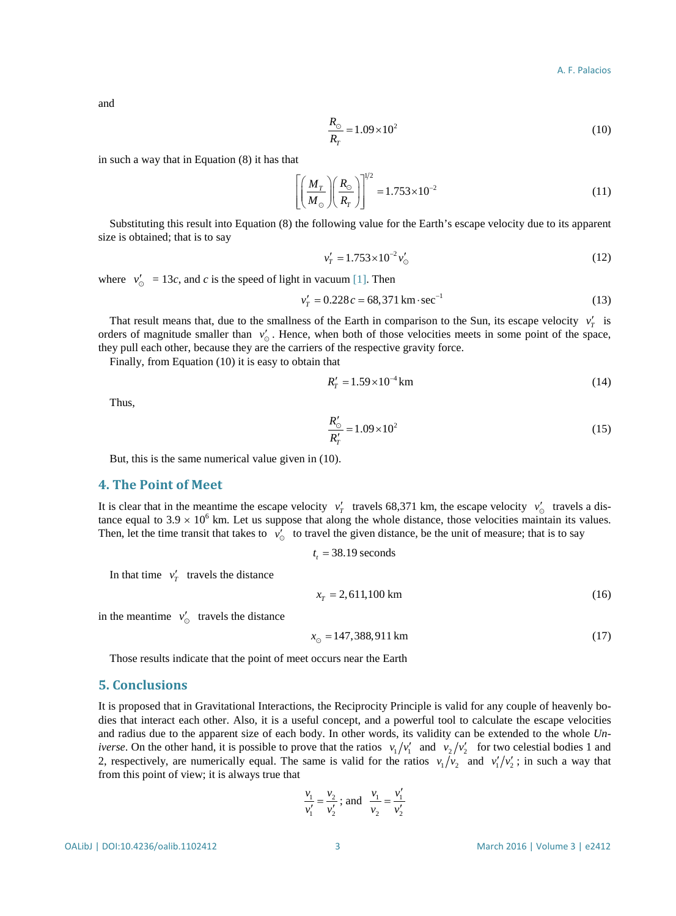and

$$
\frac{R_{\odot}}{R_{T}} = 1.09 \times 10^{2}
$$
 (10)

in such a way that in Equation (8) it has that

$$
\left[ \left( \frac{M_T}{M_\odot} \right) \left( \frac{R_\odot}{R_T} \right) \right]^{1/2} = 1.753 \times 10^{-2} \tag{11}
$$

Substituting this result into Equation (8) the following value for the Earth's escape velocity due to its apparent size is obtained; that is to say

$$
v'_T = 1.753 \times 10^{-2} v'_\odot \tag{12}
$$

where  $v'_0 = 13c$ , and *c* is the speed of light in vacuum [\[1\].](#page-3-0) Then

$$
v'_{T} = 0.228 c = 68,371 \,\text{km} \cdot \text{sec}^{-1} \tag{13}
$$

That result means that, due to the smallness of the Earth in comparison to the Sun, its escape velocity  $v'_r$  is orders of magnitude smaller than  $v'_\circ$ . Hence, when both of those velocities meets in some point of the space, they pull each other, because they are the carriers of the respective gravity force.

Finally, from Equation (10) it is easy to obtain that

$$
R'_{T} = 1.59 \times 10^{-4} \,\mathrm{km} \tag{14}
$$

Thus,

$$
\frac{R'_{\odot}}{R'_{T}} = 1.09 \times 10^{2}
$$
\n(15)

But, this is the same numerical value given in (10).

#### **4. The Point of Meet**

It is clear that in the meantime the escape velocity  $v'_T$  travels 68,371 km, the escape velocity  $v'_0$  travels a distance equal to  $3.9 \times 10^6$  km. Let us suppose that along the whole distance, those velocities maintain its values. Then, let the time transit that takes to  $v'_0$  to travel the given distance, be the unit of measure; that is to say

$$
t_t = 38.19
$$
 seconds

In that time  $v'_r$  travels the distance

$$
x_T = 2,611,100 \text{ km} \tag{16}
$$

in the meantime  $v'_\circ$  travels the distance

 $x_{\odot} = 147,388,911 \text{ km}$  (17)

Those results indicate that the point of meet occurs near the Earth

#### **5. Conclusions**

It is proposed that in Gravitational Interactions, the Reciprocity Principle is valid for any couple of heavenly bodies that interact each other. Also, it is a useful concept, and a powerful tool to calculate the escape velocities and radius due to the apparent size of each body. In other words, its validity can be extended to the whole *Universe*. On the other hand, it is possible to prove that the ratios  $v_1/v_1'$  and  $v_2/v_2'$  for two celestial bodies 1 and 2, respectively, are numerically equal. The same is valid for the ratios  $v_1/v_2$  and  $v_1/v_2'$ ; in such a way that from this point of view; it is always true that

$$
rac{v_1}{v'_1} = \frac{v_2}{v'_2}
$$
; and  $rac{v_1}{v_2} = \frac{v'_1}{v'_2}$